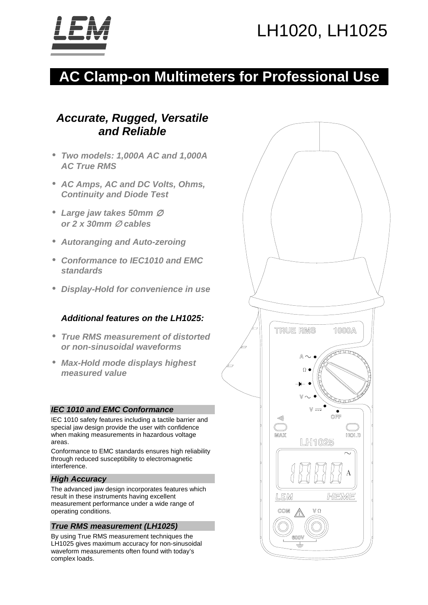# LH1020, LH1025



## **AC Clamp-on Multimeters for Professional Use**

## *Accurate, Rugged, Versatile and Reliable*

- *Two models: 1,000A AC and 1,000A AC True RMS*
- *AC Amps, AC and DC Volts, Ohms, Continuity and Diode Test*
- *Large jaw takes 50mm* <sup>∅</sup> *or 2 x 30mm* ∅ *cables*
- *Autoranging and Auto-zeroing*
- *Conformance to IEC1010 and EMC standards*
- *Display-Hold for convenience in use*

#### *Additional features on the LH1025:*

- *True RMS measurement of distorted or non-sinusoidal waveforms*
- *Max-Hold mode displays highest measured value*

#### *IEC 1010 and EMC Conformance*

IEC 1010 safety features including a tactile barrier and special jaw design provide the user with confidence when making measurements in hazardous voltage areas.

Conformance to EMC standards ensures high reliability through reduced susceptibility to electromagnetic interference.

#### *High Accuracy*

The advanced jaw design incorporates features which result in these instruments having excellent measurement performance under a wide range of operating conditions.

#### *True RMS measurement (LH1025)*

By using True RMS measurement techniques the LH1025 gives maximum accuracy for non-sinusoidal waveform measurements often found with today's complex loads.